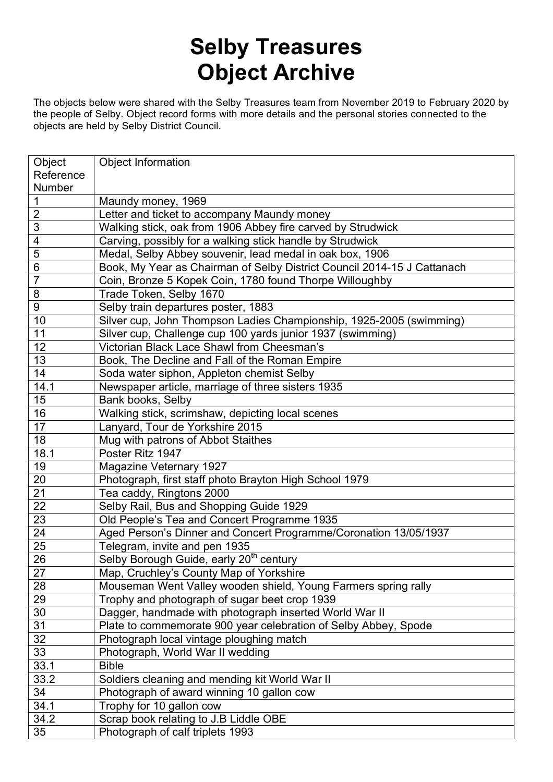## **Selby Treasures Object Archive**

The objects below were shared with the Selby Treasures team from November 2019 to February 2020 by the people of Selby. Object record forms with more details and the personal stories connected to the objects are held by Selby District Council.

| Object           | <b>Object Information</b>                                               |
|------------------|-------------------------------------------------------------------------|
| Reference        |                                                                         |
| Number           |                                                                         |
| 1                | Maundy money, 1969                                                      |
| $\overline{2}$   | Letter and ticket to accompany Maundy money                             |
| 3                | Walking stick, oak from 1906 Abbey fire carved by Strudwick             |
| 4                | Carving, possibly for a walking stick handle by Strudwick               |
| 5                | Medal, Selby Abbey souvenir, lead medal in oak box, 1906                |
| 6                | Book, My Year as Chairman of Selby District Council 2014-15 J Cattanach |
| $\overline{7}$   | Coin, Bronze 5 Kopek Coin, 1780 found Thorpe Willoughby                 |
| 8                | Trade Token, Selby 1670                                                 |
| $\boldsymbol{9}$ | Selby train departures poster, 1883                                     |
| 10               | Silver cup, John Thompson Ladies Championship, 1925-2005 (swimming)     |
| 11               | Silver cup, Challenge cup 100 yards junior 1937 (swimming)              |
| 12               | Victorian Black Lace Shawl from Cheesman's                              |
| 13               | Book, The Decline and Fall of the Roman Empire                          |
| 14               | Soda water siphon, Appleton chemist Selby                               |
| 14.1             | Newspaper article, marriage of three sisters 1935                       |
| 15               | Bank books, Selby                                                       |
| 16               | Walking stick, scrimshaw, depicting local scenes                        |
| 17               | Lanyard, Tour de Yorkshire 2015                                         |
| 18               | Mug with patrons of Abbot Staithes                                      |
| 18.1             | Poster Ritz 1947                                                        |
| 19               | Magazine Veternary 1927                                                 |
| 20               | Photograph, first staff photo Brayton High School 1979                  |
| 21               | Tea caddy, Ringtons 2000                                                |
| 22               | Selby Rail, Bus and Shopping Guide 1929                                 |
| 23               | Old People's Tea and Concert Programme 1935                             |
| $\overline{24}$  | Aged Person's Dinner and Concert Programme/Coronation 13/05/1937        |
| $\overline{25}$  | Telegram, invite and pen 1935                                           |
| 26               | Selby Borough Guide, early 20 <sup>th</sup> century                     |
| $\overline{27}$  | Map, Cruchley's County Map of Yorkshire                                 |
| 28               | Mouseman Went Valley wooden shield, Young Farmers spring rally          |
| 29               | Trophy and photograph of sugar beet crop 1939                           |
| 30               | Dagger, handmade with photograph inserted World War II                  |
| 31               | Plate to commemorate 900 year celebration of Selby Abbey, Spode         |
| 32               | Photograph local vintage ploughing match                                |
| 33               | Photograph, World War II wedding                                        |
| 33.1             | <b>Bible</b>                                                            |
| 33.2             | Soldiers cleaning and mending kit World War II                          |
| 34               | Photograph of award winning 10 gallon cow                               |
| 34.1             | Trophy for 10 gallon cow                                                |
| 34.2             | Scrap book relating to J.B Liddle OBE                                   |
| 35               | Photograph of calf triplets 1993                                        |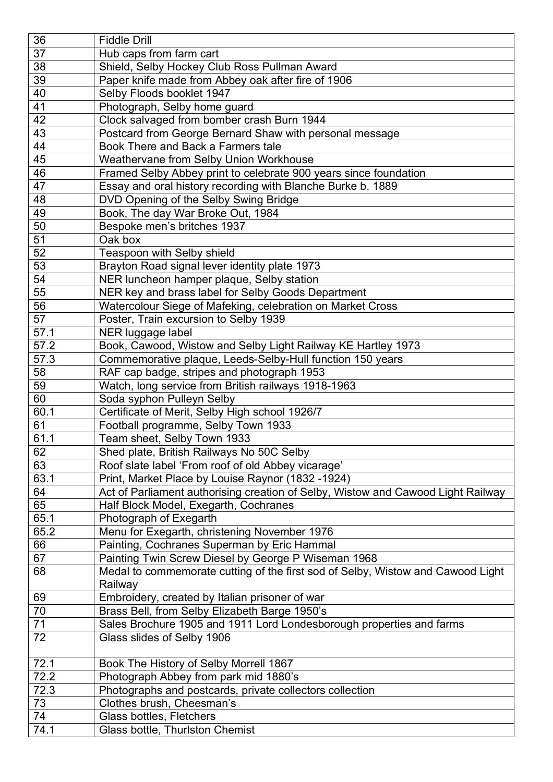| 36   | <b>Fiddle Drill</b>                                                              |
|------|----------------------------------------------------------------------------------|
| 37   | Hub caps from farm cart                                                          |
| 38   | Shield, Selby Hockey Club Ross Pullman Award                                     |
| 39   | Paper knife made from Abbey oak after fire of 1906                               |
| 40   | Selby Floods booklet 1947                                                        |
| 41   | Photograph, Selby home guard                                                     |
| 42   | Clock salvaged from bomber crash Burn 1944                                       |
| 43   | Postcard from George Bernard Shaw with personal message                          |
| 44   | Book There and Back a Farmers tale                                               |
| 45   | Weathervane from Selby Union Workhouse                                           |
| 46   | Framed Selby Abbey print to celebrate 900 years since foundation                 |
| 47   | Essay and oral history recording with Blanche Burke b. 1889                      |
| 48   | DVD Opening of the Selby Swing Bridge                                            |
| 49   | Book, The day War Broke Out, 1984                                                |
| 50   | Bespoke men's britches 1937                                                      |
| 51   | Oak box                                                                          |
| 52   | Teaspoon with Selby shield                                                       |
| 53   | Brayton Road signal lever identity plate 1973                                    |
| 54   | NER luncheon hamper plaque, Selby station                                        |
| 55   | NER key and brass label for Selby Goods Department                               |
| 56   | Watercolour Siege of Mafeking, celebration on Market Cross                       |
| 57   | Poster, Train excursion to Selby 1939                                            |
| 57.1 | NER luggage label                                                                |
| 57.2 | Book, Cawood, Wistow and Selby Light Railway KE Hartley 1973                     |
| 57.3 | Commemorative plaque, Leeds-Selby-Hull function 150 years                        |
| 58   | RAF cap badge, stripes and photograph 1953                                       |
| 59   | Watch, long service from British railways 1918-1963                              |
| 60   | Soda syphon Pulleyn Selby                                                        |
| 60.1 | Certificate of Merit, Selby High school 1926/7                                   |
| 61   | Football programme, Selby Town 1933                                              |
| 61.1 | Team sheet, Selby Town 1933                                                      |
| 62   | Shed plate, British Railways No 50C Selby                                        |
| 63   | Roof slate label 'From roof of old Abbey vicarage'                               |
| 63.1 | Print, Market Place by Louise Raynor (1832 -1924)                                |
| 64   | Act of Parliament authorising creation of Selby, Wistow and Cawood Light Railway |
| 65   | Half Block Model, Exegarth, Cochranes                                            |
| 65.1 | Photograph of Exegarth                                                           |
| 65.2 | Menu for Exegarth, christening November 1976                                     |
| 66   | Painting, Cochranes Superman by Eric Hammal                                      |
| 67   | Painting Twin Screw Diesel by George P Wiseman 1968                              |
| 68   | Medal to commemorate cutting of the first sod of Selby, Wistow and Cawood Light  |
|      | Railway                                                                          |
| 69   | Embroidery, created by Italian prisoner of war                                   |
| 70   | Brass Bell, from Selby Elizabeth Barge 1950's                                    |
| 71   | Sales Brochure 1905 and 1911 Lord Londesborough properties and farms             |
| 72   | Glass slides of Selby 1906                                                       |
|      |                                                                                  |
| 72.1 | Book The History of Selby Morrell 1867                                           |
| 72.2 | Photograph Abbey from park mid 1880's                                            |
| 72.3 | Photographs and postcards, private collectors collection                         |
| 73   | Clothes brush, Cheesman's                                                        |
| 74   | Glass bottles, Fletchers                                                         |
| 74.1 | Glass bottle, Thurlston Chemist                                                  |
|      |                                                                                  |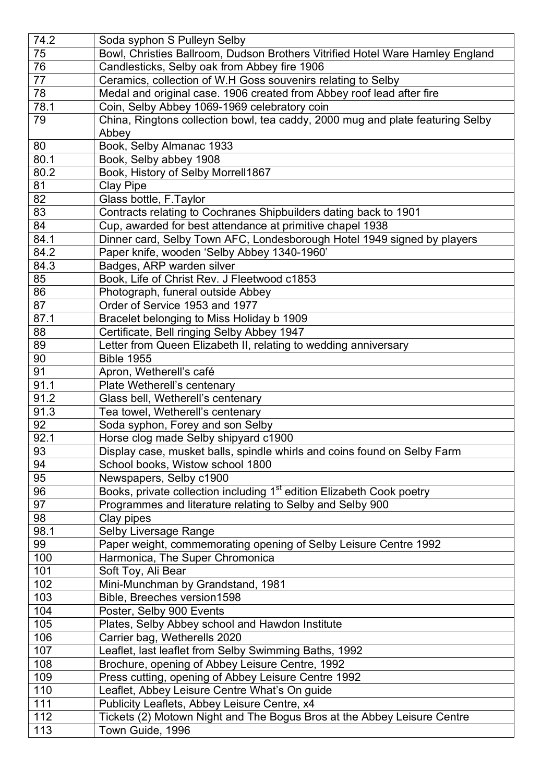| 74.2 | Soda syphon S Pulleyn Selby                                                       |
|------|-----------------------------------------------------------------------------------|
| 75   | Bowl, Christies Ballroom, Dudson Brothers Vitrified Hotel Ware Hamley England     |
| 76   | Candlesticks, Selby oak from Abbey fire 1906                                      |
| 77   | Ceramics, collection of W.H Goss souvenirs relating to Selby                      |
| 78   | Medal and original case. 1906 created from Abbey roof lead after fire             |
| 78.1 | Coin, Selby Abbey 1069-1969 celebratory coin                                      |
| 79   | China, Ringtons collection bowl, tea caddy, 2000 mug and plate featuring Selby    |
|      | Abbey                                                                             |
| 80   | Book, Selby Almanac 1933                                                          |
| 80.1 | Book, Selby abbey 1908                                                            |
| 80.2 | Book, History of Selby Morrell1867                                                |
| 81   | <b>Clay Pipe</b>                                                                  |
| 82   | Glass bottle, F.Taylor                                                            |
| 83   | Contracts relating to Cochranes Shipbuilders dating back to 1901                  |
| 84   | Cup, awarded for best attendance at primitive chapel 1938                         |
| 84.1 | Dinner card, Selby Town AFC, Londesborough Hotel 1949 signed by players           |
| 84.2 | Paper knife, wooden 'Selby Abbey 1340-1960'                                       |
| 84.3 | Badges, ARP warden silver                                                         |
| 85   | Book, Life of Christ Rev. J Fleetwood c1853                                       |
| 86   | Photograph, funeral outside Abbey                                                 |
| 87   | Order of Service 1953 and 1977                                                    |
| 87.1 | Bracelet belonging to Miss Holiday b 1909                                         |
| 88   | Certificate, Bell ringing Selby Abbey 1947                                        |
| 89   | Letter from Queen Elizabeth II, relating to wedding anniversary                   |
| 90   | <b>Bible 1955</b>                                                                 |
| 91   | Apron, Wetherell's café                                                           |
| 91.1 | Plate Wetherell's centenary                                                       |
| 91.2 | Glass bell, Wetherell's centenary                                                 |
| 91.3 | Tea towel, Wetherell's centenary                                                  |
| 92   | Soda syphon, Forey and son Selby                                                  |
| 92.1 | Horse clog made Selby shipyard c1900                                              |
| 93   | Display case, musket balls, spindle whirls and coins found on Selby Farm          |
| 94   | School books, Wistow school 1800                                                  |
| 95   | Newspapers, Selby c1900                                                           |
| 96   | Books, private collection including 1 <sup>st</sup> edition Elizabeth Cook poetry |
| 97   | Programmes and literature relating to Selby and Selby 900                         |
| 98   | Clay pipes                                                                        |
| 98.1 | Selby Liversage Range                                                             |
| 99   | Paper weight, commemorating opening of Selby Leisure Centre 1992                  |
| 100  | Harmonica, The Super Chromonica                                                   |
| 101  | Soft Toy, Ali Bear                                                                |
| 102  | Mini-Munchman by Grandstand, 1981                                                 |
| 103  | Bible, Breeches version1598                                                       |
| 104  | Poster, Selby 900 Events                                                          |
| 105  | Plates, Selby Abbey school and Hawdon Institute                                   |
| 106  | Carrier bag, Wetherells 2020                                                      |
| 107  | Leaflet, last leaflet from Selby Swimming Baths, 1992                             |
| 108  | Brochure, opening of Abbey Leisure Centre, 1992                                   |
| 109  | Press cutting, opening of Abbey Leisure Centre 1992                               |
| 110  | Leaflet, Abbey Leisure Centre What's On guide                                     |
| 111  | Publicity Leaflets, Abbey Leisure Centre, x4                                      |
| 112  | Tickets (2) Motown Night and The Bogus Bros at the Abbey Leisure Centre           |
| 113  | Town Guide, 1996                                                                  |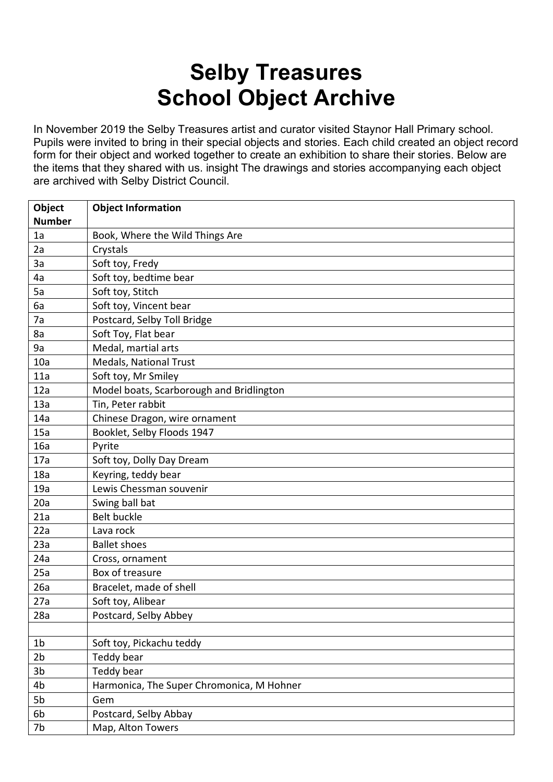## **Selby Treasures School Object Archive**

In November 2019 the Selby Treasures artist and curator visited Staynor Hall Primary school. Pupils were invited to bring in their special objects and stories. Each child created an object record form for their object and worked together to create an exhibition to share their stories. Below are the items that they shared with us. insight The drawings and stories accompanying each object are archived with Selby District Council.

| Object         | <b>Object Information</b>                 |
|----------------|-------------------------------------------|
| <b>Number</b>  |                                           |
| 1a             | Book, Where the Wild Things Are           |
| 2a             | Crystals                                  |
| 3a             | Soft toy, Fredy                           |
| 4a             | Soft toy, bedtime bear                    |
| 5a             | Soft toy, Stitch                          |
| 6a             | Soft toy, Vincent bear                    |
| 7a             | Postcard, Selby Toll Bridge               |
| 8a             | Soft Toy, Flat bear                       |
| 9a             | Medal, martial arts                       |
| 10a            | Medals, National Trust                    |
| 11a            | Soft toy, Mr Smiley                       |
| 12a            | Model boats, Scarborough and Bridlington  |
| 13a            | Tin, Peter rabbit                         |
| 14a            | Chinese Dragon, wire ornament             |
| 15a            | Booklet, Selby Floods 1947                |
| 16a            | Pyrite                                    |
| 17a            | Soft toy, Dolly Day Dream                 |
| 18a            | Keyring, teddy bear                       |
| 19a            | Lewis Chessman souvenir                   |
| 20a            | Swing ball bat                            |
| 21a            | Belt buckle                               |
| 22a            | Lava rock                                 |
| 23a            | <b>Ballet shoes</b>                       |
| 24a            | Cross, ornament                           |
| 25a            | Box of treasure                           |
| 26a            | Bracelet, made of shell                   |
| 27a            | Soft toy, Alibear                         |
| 28a            | Postcard, Selby Abbey                     |
|                |                                           |
| 1 <sub>b</sub> | Soft toy, Pickachu teddy                  |
| 2 <sub>b</sub> | Teddy bear                                |
| 3 <sub>b</sub> | Teddy bear                                |
| 4 <sub>b</sub> | Harmonica, The Super Chromonica, M Hohner |
| 5b             | Gem                                       |
| 6b             | Postcard, Selby Abbay                     |
| 7b             | Map, Alton Towers                         |